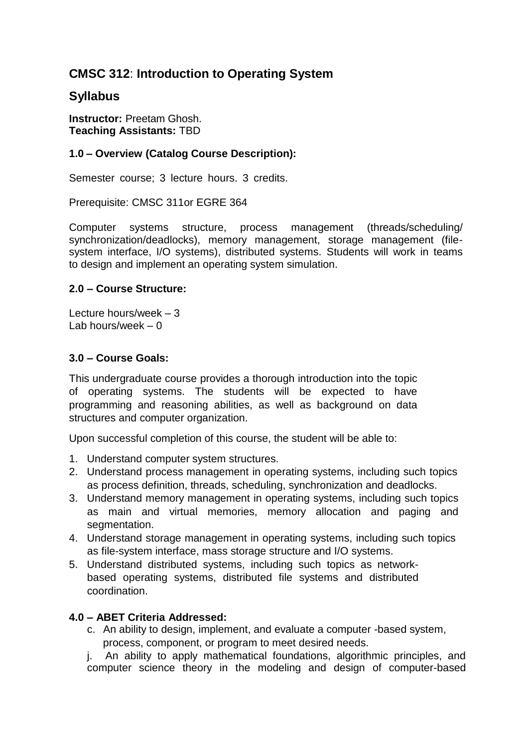# **CMSC 312**: **Introduction to Operating System**

# **Syllabus**

**Instructor:** Preetam Ghosh. **Teaching Assistants:** TBD

# **1.0 – Overview (Catalog Course Description):**

Semester course; 3 lecture hours. 3 credits.

Prerequisite: CMSC 311or EGRE 364

Computer systems structure, process management (threads/scheduling/ synchronization/deadlocks), memory management, storage management (filesystem interface, I/O systems), distributed systems. Students will work in teams to design and implement an operating system simulation.

#### **2.0 – Course Structure:**

Lecture hours/week – 3 Lab hours/week  $-0$ 

# **3.0 – Course Goals:**

This undergraduate course provides a thorough introduction into the topic of operating systems. The students will be expected to have programming and reasoning abilities, as well as background on data structures and computer organization.

Upon successful completion of this course, the student will be able to:

- 1. Understand computer system structures.
- 2. Understand process management in operating systems, including such topics as process definition, threads, scheduling, synchronization and deadlocks.
- 3. Understand memory management in operating systems, including such topics as main and virtual memories, memory allocation and paging and segmentation.
- 4. Understand storage management in operating systems, including such topics as file-system interface, mass storage structure and I/O systems.
- 5. Understand distributed systems, including such topics as networkbased operating systems, distributed file systems and distributed coordination.

# **4.0 – ABET Criteria Addressed:**

c. An ability to design, implement, and evaluate a computer -based system, process, component, or program to meet desired needs.

j. An ability to apply mathematical foundations, algorithmic principles, and computer science theory in the modeling and design of computer-based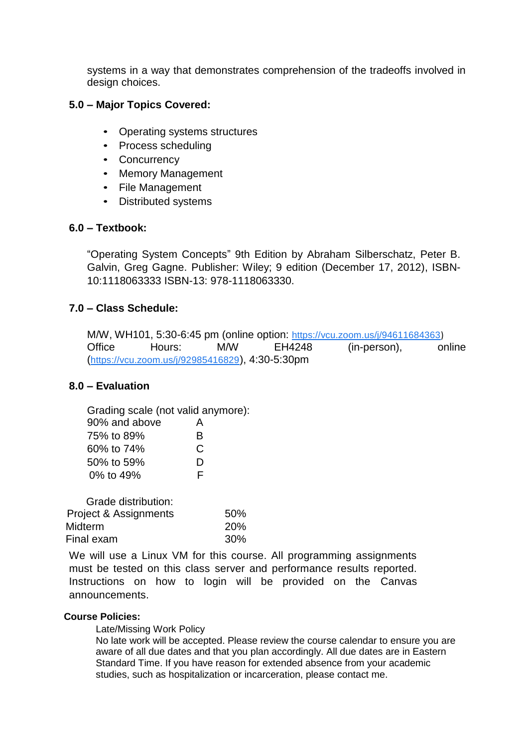systems in a way that demonstrates comprehension of the tradeoffs involved in design choices.

#### **5.0 – Major Topics Covered:**

- Operating systems structures
- Process scheduling
- Concurrency
- Memory Management
- File Management
- Distributed systems

# **6.0 – Textbook:**

"Operating System Concepts" 9th Edition by Abraham Silberschatz, Peter B. Galvin, Greg Gagne. Publisher: Wiley; 9 edition (December 17, 2012), ISBN-10:1118063333 ISBN-13: 978-1118063330.

# **7.0 – Class Schedule:**

M/W, WH101, 5:30-6:45 pm (online option: [https://vcu.zoom.us/j/94611684363](https://www.google.com/url?q=https://vcu.zoom.us/j/94611684363&sa=D&source=calendar&ust=1642954244137081&usg=AOvVaw06rkePqxqd13rje6V3EvTX))<br>Office Thours: M/W EH4248 (in-person). or Office Hours: M/W EH4248 (in-person), online ([https://vcu.zoom.us/j/92985416829](https://www.google.com/url?q=https://vcu.zoom.us/j/92985416829&sa=D&source=calendar&ust=1642909878766079&usg=AOvVaw0SrelmrLinjP5jHhOfM2KI)), 4:30-5:30pm

#### **8.0 – Evaluation**

| Grading scale (not valid anymore): |   |
|------------------------------------|---|
| 90% and above                      | А |
| 75% to 89%                         | R |
| 60% to 74%                         | C |
| 50% to 59%                         | D |
| 0% to 49%                          | F |

| Grade distribution:              |            |
|----------------------------------|------------|
| <b>Project &amp; Assignments</b> | 50%        |
| Midterm                          | <b>20%</b> |
| Final exam                       | 30%        |

We will use a Linux VM for this course. All programming assignments must be tested on this class server and performance results reported. Instructions on how to login will be provided on the Canvas announcements.

#### **Course Policies:**

Late/Missing Work Policy

No late work will be accepted. Please review the course calendar to ensure you are aware of all due dates and that you plan accordingly. All due dates are in Eastern Standard Time. If you have reason for extended absence from your academic studies, such as hospitalization or incarceration, please contact me.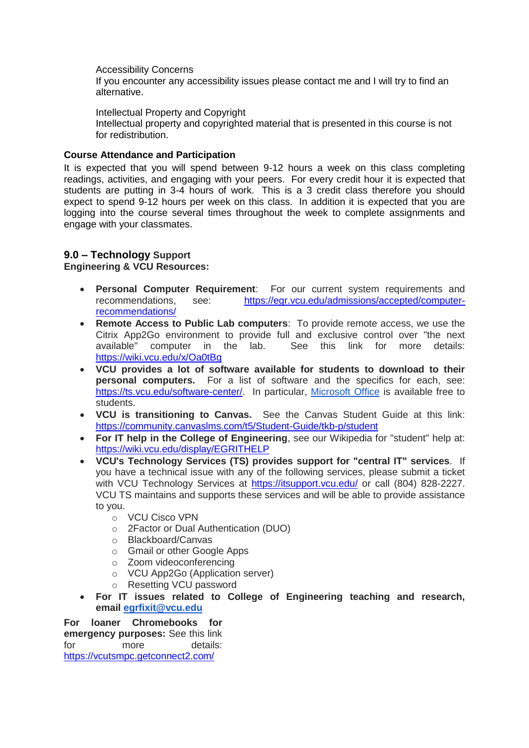Accessibility Concerns

If you encounter any accessibility issues please contact me and I will try to find an alternative.

Intellectual Property and Copyright Intellectual property and copyrighted material that is presented in this course is not for redistribution.

#### **Course Attendance and Participation**

It is expected that you will spend between 9-12 hours a week on this class completing readings, activities, and engaging with your peers. For every credit hour it is expected that students are putting in 3-4 hours of work. This is a 3 credit class therefore you should expect to spend 9-12 hours per week on this class. In addition it is expected that you are logging into the course several times throughout the week to complete assignments and engage with your classmates.

# **9.0 – Technology Support**

#### **Engineering & VCU Resources:**

- **Personal Computer Requirement**: For our current system requirements and recommendations, see: [https://egr.vcu.edu/admissions/accepted/computer](https://egr.vcu.edu/admissions/accepted/computer-recommendations/)[recommendations/](https://egr.vcu.edu/admissions/accepted/computer-recommendations/)
- **Remote Access to Public Lab computers**: To provide remote access, we use the Citrix App2Go environment to provide full and exclusive control over "the next available" computer in the lab. See this link for more details: <https://wiki.vcu.edu/x/Oa0tBg>
- **VCU provides a lot of software available for students to download to their personal computers.** For a list of software and the specifics for each, see: [https://ts.vcu.edu/software-center/.](https://ts.vcu.edu/software-center/) In particular, [Microsoft Office](https://go.vcu.edu/microsoft) is available free to students.
- **VCU is transitioning to Canvas.** See the Canvas Student Guide at this link: <https://community.canvaslms.com/t5/Student-Guide/tkb-p/student>
- **For IT help in the College of Engineering**, see our Wikipedia for "student" help at: <https://wiki.vcu.edu/display/EGRITHELP>
- **VCU's Technology Services (TS) provides support for "central IT" services**. If you have a technical issue with any of the following services, please submit a ticket with VCU Technology Services at<https://itsupport.vcu.edu/> or call (804) 828-2227. VCU TS maintains and supports these services and will be able to provide assistance to you.
	- o VCU Cisco VPN
	- o 2Factor or Dual Authentication (DUO)
	- o Blackboard/Canvas
	- o Gmail or other Google Apps
	- o Zoom videoconferencing
	- o VCU App2Go (Application server)
	- o Resetting VCU password
- **For IT issues related to College of Engineering teaching and research, email [egrfixit@vcu.edu](mailto:egrfixit@vcu.edu)**

**For loaner Chromebooks for emergency purposes:** See this link for more details: <https://vcutsmpc.getconnect2.com/>